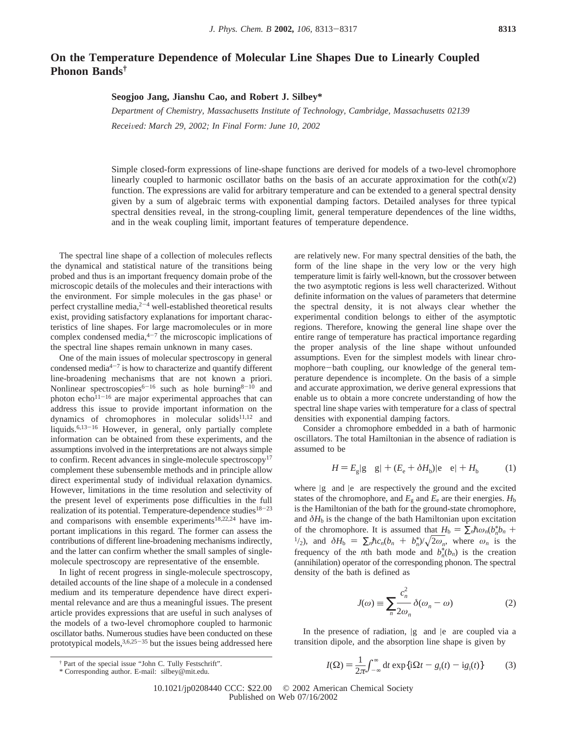# **On the Temperature Dependence of Molecular Line Shapes Due to Linearly Coupled Phonon Bands†**

## **Seogjoo Jang, Jianshu Cao, and Robert J. Silbey\***

*Department of Chemistry, Massachusetts Institute of Technology, Cambridge, Massachusetts 02139 Recei*V*ed: March 29, 2002; In Final Form: June 10, 2002*

Simple closed-form expressions of line-shape functions are derived for models of a two-level chromophore linearly coupled to harmonic oscillator baths on the basis of an accurate approximation for the  $\coth(x/2)$ function. The expressions are valid for arbitrary temperature and can be extended to a general spectral density given by a sum of algebraic terms with exponential damping factors. Detailed analyses for three typical spectral densities reveal, in the strong-coupling limit, general temperature dependences of the line widths, and in the weak coupling limit, important features of temperature dependence.

The spectral line shape of a collection of molecules reflects the dynamical and statistical nature of the transitions being probed and thus is an important frequency domain probe of the microscopic details of the molecules and their interactions with the environment. For simple molecules in the gas phase<sup>1</sup> or perfect crystalline media, $2^{-4}$  well-established theoretical results exist, providing satisfactory explanations for important characteristics of line shapes. For large macromolecules or in more complex condensed media, $4-7$  the microscopic implications of the spectral line shapes remain unknown in many cases.

One of the main issues of molecular spectroscopy in general condensed media $4-7$  is how to characterize and quantify different line-broadening mechanisms that are not known a priori. Nonlinear spectroscopies<sup>6-16</sup> such as hole burning<sup>8-10</sup> and photon echo $11-16$  are major experimental approaches that can address this issue to provide important information on the dynamics of chromophores in molecular solids $11,12$  and liquids.<sup>6,13-16</sup> However, in general, only partially complete information can be obtained from these experiments, and the assumptions involved in the interpretations are not always simple to confirm. Recent advances in single-molecule spectroscopy<sup>17</sup> complement these subensemble methods and in principle allow direct experimental study of individual relaxation dynamics. However, limitations in the time resolution and selectivity of the present level of experiments pose difficulties in the full realization of its potential. Temperature-dependence studies<sup>18-23</sup> and comparisons with ensemble experiments<sup>18,22,24</sup> have important implications in this regard. The former can assess the contributions of different line-broadening mechanisms indirectly, and the latter can confirm whether the small samples of singlemolecule spectroscopy are representative of the ensemble.

In light of recent progress in single-molecule spectroscopy, detailed accounts of the line shape of a molecule in a condensed medium and its temperature dependence have direct experimental relevance and are thus a meaningful issues. The present article provides expressions that are useful in such analyses of the models of a two-level chromophore coupled to harmonic oscillator baths. Numerous studies have been conducted on these prototypical models,  $3,6,25-35$  but the issues being addressed here

are relatively new. For many spectral densities of the bath, the form of the line shape in the very low or the very high temperature limit is fairly well-known, but the crossover between the two asymptotic regions is less well characterized. Without definite information on the values of parameters that determine the spectral density, it is not always clear whether the experimental condition belongs to either of the asymptotic regions. Therefore, knowing the general line shape over the entire range of temperature has practical importance regarding the proper analysis of the line shape without unfounded assumptions. Even for the simplest models with linear chromophore-bath coupling, our knowledge of the general temperature dependence is incomplete. On the basis of a simple and accurate approximation, we derive general expressions that enable us to obtain a more concrete understanding of how the spectral line shape varies with temperature for a class of spectral densities with exponential damping factors.

Consider a chromophore embedded in a bath of harmonic oscillators. The total Hamiltonian in the absence of radiation is assumed to be

$$
H = Eg|g\rangle\langle g| + (Ee + \delta Hb)|e\rangle\langle e| + Hb
$$
 (1)

where  $|g\rangle$  and  $|e\rangle$  are respectively the ground and the excited states of the chromophore, and  $E_g$  and  $E_e$  are their energies.  $H_b$ is the Hamiltonian of the bath for the ground-state chromophore, and  $\delta H_b$  is the change of the bath Hamiltonian upon excitation of the chromophore. It is assumed that  $H_b = \sum_n \hbar \omega_n (b_n^* + b_n^*) / (\sqrt{2\omega_n} - b_n^*)$ *b* of the chromophore. It is assumed that  $H_b = \sum_n \hbar \omega_n (b_n^* b_n + \frac{1}{2})$ , and  $\delta H_b = \sum_n \hbar c_n (b_n + b_n^*) / \sqrt{2\omega_n}$ , where  $\omega_n$  is the frequency of the *n*th bath mode and  $b_1^*(b_1)$  is the creation  $\sqrt[n]{2\omega_n}$ , where  $\omega_n$  is the frequency of the *n*th bath mode and  $b_n^*(b_n)$  is the creation (annihilation) operator of the corresponding phonon. The spectral density of the bath is defined as

$$
J(\omega) \equiv \sum_{n} \frac{c_n^2}{2\omega_n} \delta(\omega_n - \omega)
$$
 (2)

In the presence of radiation,  $|g\rangle$  and  $|e\rangle$  are coupled via a transition dipole, and the absorption line shape is given by

† Part of the special issue "John C. Tully Festschrift".

$$
I(\Omega) = \frac{1}{2\pi} \int_{-\infty}^{\infty} dt \exp\{i\Omega t - g_r(t) - ig_i(t)\}
$$
 (3)

<sup>\*</sup> Corresponding author. E-mail: silbey@mit.edu.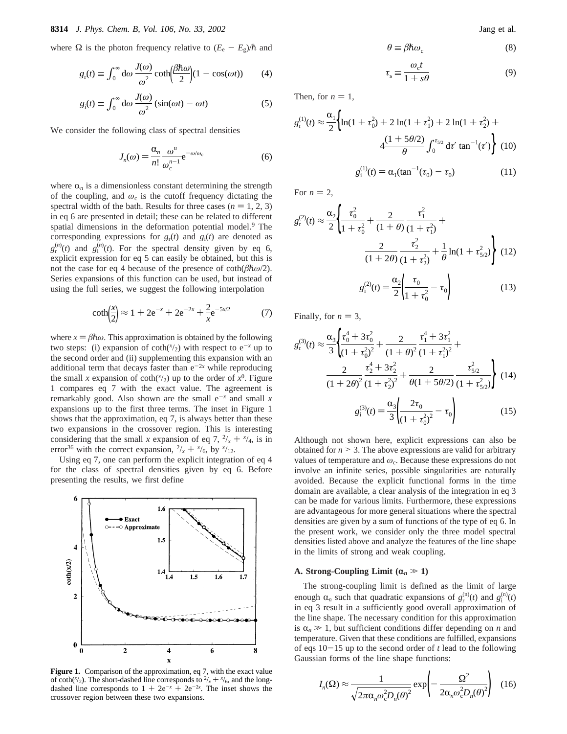where Ω is the photon frequency relative to  $(E_e - E_g)/\hbar$  and

$$
g_{\rm r}(t) \equiv \int_0^\infty \mathrm{d}\omega \, \frac{J(\omega)}{\omega^2} \coth\left(\frac{\beta \hbar \omega}{2}\right) (1 - \cos(\omega t)) \tag{4}
$$

$$
g_i(t) \equiv \int_0^\infty d\omega \, \frac{J(\omega)}{\omega^2} (\sin(\omega t) - \omega t) \tag{5}
$$

We consider the following class of spectral densities

$$
J_n(\omega) = \frac{\alpha_n}{n!} \frac{\omega^n}{\omega_c^{n-1}} e^{-\omega/\omega_c}
$$
 (6)

where  $\alpha_n$  is a dimensionless constant determining the strength of the coupling, and *ω*<sup>c</sup> is the cutoff frequency dictating the spectral width of the bath. Results for three cases  $(n = 1, 2, 3)$ in eq 6 are presented in detail; these can be related to different spatial dimensions in the deformation potential model.<sup>9</sup> The corresponding expressions for  $g_r(t)$  and  $g_i(t)$  are denoted as  $g_r^{(n)}(t)$  and  $g_i^{(n)}(t)$ . For the spectral density given by eq 6, explicit expression for eq 5 can easily be obtained, but this is not the case for eq 4 because of the presence of coth $(\beta \hbar \omega/2)$ . Series expansions of this function can be used, but instead of using the full series, we suggest the following interpolation

$$
\coth\left(\frac{x}{2}\right) \approx 1 + 2e^{-x} + 2e^{-2x} + \frac{2}{x}e^{-5x/2} \tag{7}
$$

where  $x = \beta \hbar \omega$ . This approximation is obtained by the following two steps: (i) expansion of  $coth(*x*/2)$  with respect to  $e^{-x}$  up to the second order and (ii) supplementing this expansion with an additional term that decays faster than  $e^{-2x}$  while reproducing the small *x* expansion of coth( $\frac{x}{2}$ ) up to the order of  $x^0$ . Figure 1 compares eq 7 with the exact value. The agreement is remarkably good. Also shown are the small  $e^{-x}$  and small x expansions up to the first three terms. The inset in Figure 1 shows that the approximation, eq 7, is always better than these two expansions in the crossover region. This is interesting considering that the small *x* expansion of eq 7,  $\frac{2}{x} + \frac{x}{4}$ , is in error<sup>36</sup> with the correct expansion  $\frac{2}{x} + \frac{x}{6}$  by  $\frac{x}{12}$ error<sup>36</sup> with the correct expansion,  $\frac{2}{x} + \frac{x}{6}$ , by  $\frac{x}{12}$ .<br>Ising eq. 7, one can perform the explicit integration

Using eq 7, one can perform the explicit integration of eq 4 for the class of spectral densities given by eq 6. Before presenting the results, we first define



**Figure 1.** Comparison of the approximation, eq 7, with the exact value of coth( $\frac{x}{2}$ ). The short-dashed line corresponds to  $\frac{2}{x} + \frac{x}{6}$ , and the long- $\frac{x}{x} + \frac{x}{x}$ dashed line corresponds to  $1 + 2e^{-x} + 2e^{-2x}$ . The inset shows the crossover region between these two expansions crossover region between these two expansions.

$$
\theta \equiv \beta \hbar \omega_{\rm c} \tag{8}
$$

$$
\tau_{\rm s} \equiv \frac{\omega_{\rm c}t}{1+s\theta} \tag{9}
$$

Then, for  $n = 1$ ,

$$
g_{r}^{(1)}(t) \approx \frac{\alpha_{1}}{2} \Biggl\{ \ln(1 + \tau_{0}^{2}) + 2 \ln(1 + \tau_{1}^{2}) + 2 \ln(1 + \tau_{2}^{2}) + 4 \frac{(1 + 5\theta/2)}{\theta} \int_{0}^{\tau_{5/2}} d\tau' \tan^{-1}(\tau') \Biggr\} (10)
$$

$$
g_{1}^{(1)}(t) = \alpha_{1} (\tan^{-1}(\tau_{0}) - \tau_{0}) (11)
$$

For  $n = 2$ ,

$$
g_{\rm r}^{(2)}(t) \approx \frac{\alpha_2}{2} \left\{ \frac{\tau_0^2}{1 + \tau_0^2} + \frac{2}{(1 + \theta)} \frac{\tau_1^2}{(1 + \tau_1^2)} + \frac{\tau_2^2}{(1 + 2\theta)} \frac{\tau_2^2}{(1 + \tau_2^2)} + \frac{1}{\theta} \ln(1 + \tau_{5/2}^2) \right\}
$$
(12)  

$$
g_{\rm i}^{(2)}(t) = \frac{\alpha_2}{2} \left( \frac{\tau_0}{1 + \tau_0^2} - \tau_0 \right)
$$
(13)

Finally, for  $n = 3$ ,

$$
g_{\rm r}^{(3)}(t) \approx \frac{\alpha_3}{3} \left\{ \frac{\tau_0^4 + 3\tau_0^2}{(1 + \tau_0^2)^2} + \frac{2}{(1 + \theta)^2} \frac{\tau_1^4 + 3\tau_1^2}{(1 + \tau_1^2)^2} + \frac{2}{(1 + 2\theta)^2} \frac{\tau_2^4 + 3\tau_2^2}{(1 + \tau_2^2)^2} + \frac{2}{\theta(1 + 5\theta/2)} \frac{\tau_{5/2}^2}{(1 + \tau_{5/2}^2)} \right\}
$$
(14)  

$$
g_{\rm r}^{(3)}(t) = \frac{\alpha_3}{2} \left( \frac{2\tau_0}{t} - \tau \right) \qquad (15)
$$

$$
g_1^{(3)}(t) = \frac{\alpha_3}{3} \left( \frac{2\tau_0}{(1 + \tau_0^2)^2} - \tau_0 \right) \tag{15}
$$

Although not shown here, explicit expressions can also be obtained for  $n > 3$ . The above expressions are valid for arbitrary values of temperature and  $\omega_c$ . Because these expressions do not involve an infinite series, possible singularities are naturally avoided. Because the explicit functional forms in the time domain are available, a clear analysis of the integration in eq 3 can be made for various limits. Furthermore, these expressions are advantageous for more general situations where the spectral densities are given by a sum of functions of the type of eq 6. In the present work, we consider only the three model spectral densities listed above and analyze the features of the line shape in the limits of strong and weak coupling.

## **A. Strong-Coupling Limit (** $\alpha_n \gg 1$ **)**

The strong-coupling limit is defined as the limit of large enough  $\alpha_n$  such that quadratic expansions of  $g_i^{(n)}(t)$  and  $g_i^{(n)}(t)$ <br>in eq. 3 result in a sufficiently good overall approximation of in eq 3 result in a sufficiently good overall approximation of the line shape. The necessary condition for this approximation is  $\alpha_n \gg 1$ , but sufficient conditions differ depending on *n* and temperature. Given that these conditions are fulfilled, expansions of eqs  $10-15$  up to the second order of *t* lead to the following Gaussian forms of the line shape functions:

$$
I_n(\Omega) \approx \frac{1}{\sqrt{2\pi\alpha_n \omega_c^2 D_n(\theta)^2}} \exp\left(-\frac{\Omega^2}{2\alpha_n \omega_c^2 D_n(\theta)^2}\right) \quad (16)
$$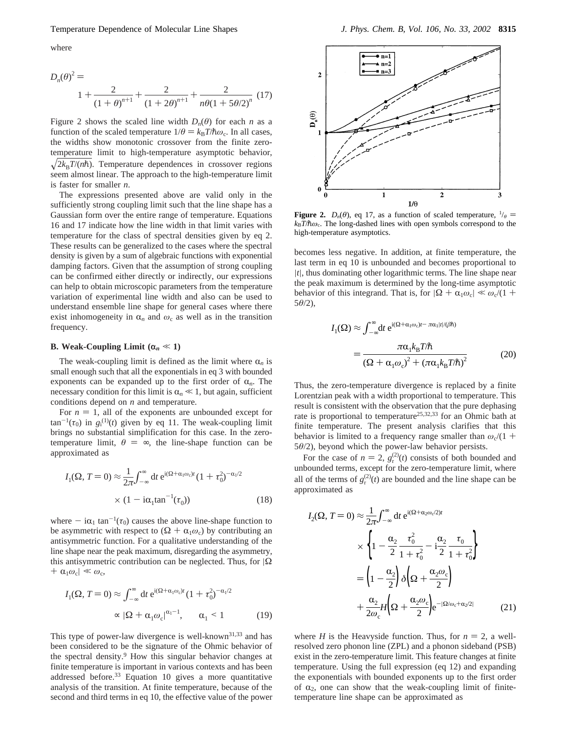### Temperature Dependence of Molecular Line Shapes *J. Phys. Chem. B, Vol. 106, No. 33, 2002* **8315**

where

$$
D_n(\theta)^2 =
$$
  
 
$$
1 + \frac{2}{(1+\theta)^{n+1}} + \frac{2}{(1+2\theta)^{n+1}} + \frac{2}{n\theta(1+5\theta/2)^n}
$$
 (17)

Figure 2 shows the scaled line width  $D_n(\theta)$  for each *n* as a function of the scaled temperature  $1/\theta = k_B T/\hbar \omega_c$ . In all cases, the widths show monotonic crossover from the finite zerotemperature limit to high-temperature asymptotic behavior,  $\sqrt{2k_B T / (n\hbar)}$ . Temperature dependences in crossover regions seem almost linear. The approach to the high-temperature limit is faster for smaller *n*.

The expressions presented above are valid only in the sufficiently strong coupling limit such that the line shape has a Gaussian form over the entire range of temperature. Equations 16 and 17 indicate how the line width in that limit varies with temperature for the class of spectral densities given by eq 2. These results can be generalized to the cases where the spectral density is given by a sum of algebraic functions with exponential damping factors. Given that the assumption of strong coupling can be confirmed either directly or indirectly, our expressions can help to obtain microscopic parameters from the temperature variation of experimental line width and also can be used to understand ensemble line shape for general cases where there exist inhomogeneity in  $\alpha_n$  and  $\omega_c$  as well as in the transition frequency.

#### **B. Weak-Coupling Limit (** $\alpha_n \ll 1$ **)**

The weak-coupling limit is defined as the limit where  $\alpha_n$  is small enough such that all the exponentials in eq 3 with bounded exponents can be expanded up to the first order of  $\alpha_n$ . The necessary condition for this limit is  $\alpha_n \ll 1$ , but again, sufficient conditions depend on *n* and temperature.

For  $n = 1$ , all of the exponents are unbounded except for  $\tan^{-1}(\tau_0)$  in  $g_i^{(1)}(t)$  given by eq 11. The weak-coupling limit brings no substantial simplification for this case. In the zerotemperature limit,  $\theta = \infty$ , the line-shape function can be approximated as

$$
I_1(\Omega, T=0) \approx \frac{1}{2\pi} \int_{-\infty}^{\infty} dt \, e^{i(\Omega + \alpha_1 \omega_c)t} (1 + \tau_0^2)^{-\alpha_1/2}
$$

$$
\times (1 - i\alpha_1 \tan^{-1}(\tau_0)) \tag{18}
$$

where  $- i\alpha_1 \tan^{-1}(\tau_0)$  causes the above line-shape function to be asymmetric with respect to  $(\Omega + \alpha_1 \omega_c)$  by contributing an antisymmetric function. For a qualitative understanding of the line shape near the peak maximum, disregarding the asymmetry, this antisymmetric contribution can be neglected. Thus, for  $|\Omega|$  $+ \alpha_1 \omega_c \ll \omega_c$ 

$$
I_1(\Omega, T=0) \approx \int_{-\infty}^{\infty} dt \, e^{i(\Omega + \alpha_1 \omega_c)t} (1 + \tau_0^2)^{-\alpha_1/2}
$$

$$
\approx |\Omega + \alpha_1 \omega_c|^{\alpha_1 - 1}, \qquad \alpha_1 < 1 \tag{19}
$$

This type of power-law divergence is well-known<sup>31,33</sup> and has been considered to be the signature of the Ohmic behavior of the spectral density.<sup>9</sup> How this singular behavior changes at finite temperature is important in various contexts and has been addressed before.<sup>33</sup> Equation 10 gives a more quantitative analysis of the transition. At finite temperature, because of the second and third terms in eq 10, the effective value of the power



**Figure 2.**  $D_n(\theta)$ , eq 17, as a function of scaled temperature,  $\frac{1}{\theta}$  =  $k_B T / \hbar \omega_c$ . The long-dashed lines with open symbols correspond to the high-temperature asymptotics.

becomes less negative. In addition, at finite temperature, the last term in eq 10 is unbounded and becomes proportional to |*t*|, thus dominating other logarithmic terms. The line shape near the peak maximum is determined by the long-time asymptotic behavior of this integrand. That is, for  $|\Omega + \alpha_1 \omega_c| \ll \omega_c/(1 +$ 5*θ*/2),

$$
I_{1}(\Omega) \approx \int_{-\infty}^{\infty} dt \ e^{i(\Omega + \alpha_{1}\omega_{c})t - \pi\alpha_{1}|t|/(\beta\hbar)}
$$
  
= 
$$
\frac{\pi\alpha_{1}k_{B}T/\hbar}{(\Omega + \alpha_{1}\omega_{c})^{2} + (\pi\alpha_{1}k_{B}T/\hbar)^{2}}
$$
(20)

Thus, the zero-temperature divergence is replaced by a finite Lorentzian peak with a width proportional to temperature. This result is consistent with the observation that the pure dephasing rate is proportional to temperature<sup>25,32,33</sup> for an Ohmic bath at finite temperature. The present analysis clarifies that this behavior is limited to a frequency range smaller than  $\omega_c/(1 +$ 5*θ*/2), beyond which the power-law behavior persists.

For the case of  $n = 2$ ,  $g_r^{(2)}(t)$  consists of both bounded and bounded terms except for the zero-temperature limit where unbounded terms, except for the zero-temperature limit, where all of the terms of  $g_r^{(2)}(t)$  are bounded and the line shape can be approximated as

$$
I_2(\Omega, T=0) \approx \frac{1}{2\pi} \int_{-\infty}^{\infty} dt \, e^{i(\Omega + \alpha_2 \omega_c/2)t}
$$

$$
\times \left\{ 1 - \frac{\alpha_2}{2} \frac{\tau_0^2}{1 + \tau_0^2} - i \frac{\alpha_2}{2} \frac{\tau_0}{1 + \tau_0^2} \right\}
$$

$$
= \left( 1 - \frac{\alpha_2}{2} \right) \delta \left( \Omega + \frac{\alpha_2 \omega_c}{2} \right)
$$

$$
+ \frac{\alpha_2}{2\omega_c} H \left( \Omega + \frac{\alpha_2 \omega_c}{2} \right) e^{-|\Omega/\omega_c + \alpha_2/2|} \tag{21}
$$

where *H* is the Heavyside function. Thus, for  $n = 2$ , a wellresolved zero phonon line (ZPL) and a phonon sideband (PSB) exist in the zero-temperature limit. This feature changes at finite temperature. Using the full expression (eq 12) and expanding the exponentials with bounded exponents up to the first order of  $\alpha_2$ , one can show that the weak-coupling limit of finitetemperature line shape can be approximated as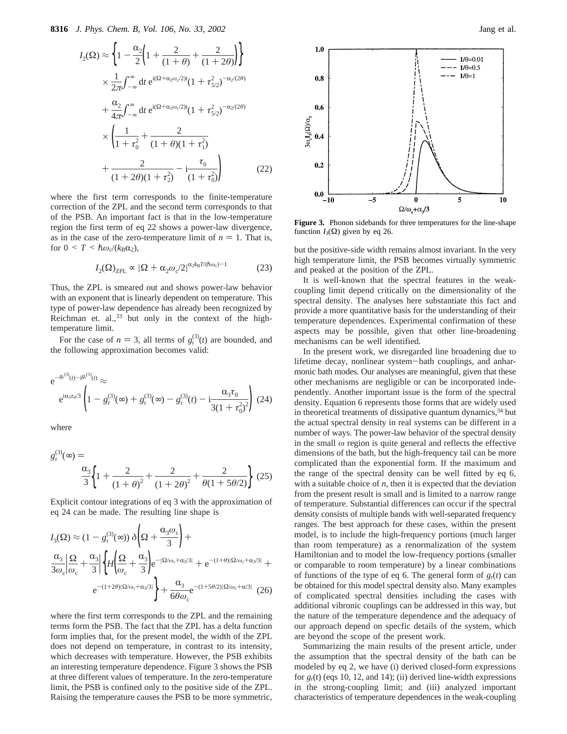$$
I_2(\Omega) \approx \left\{ 1 - \frac{\alpha_2}{2} \left( 1 + \frac{2}{(1+\theta)} + \frac{2}{(1+2\theta)} \right) \right\}
$$
  
 
$$
\times \frac{1}{2\pi} \int_{-\infty}^{\infty} dt \ e^{i(\Omega + \alpha_2 \omega_c/2)t} (1 + \tau_{5/2}^2)^{-\alpha_2/(2\theta)}
$$
  
 
$$
+ \frac{\alpha_2}{4\pi} \int_{-\infty}^{\infty} dt \ e^{i(\Omega + \alpha_2 \omega_c/2)t} (1 + \tau_{5/2}^2)^{-\alpha_2/(2\theta)}
$$
  
 
$$
\times \left( \frac{1}{1 + \tau_0^2} + \frac{2}{(1 + \theta)(1 + \tau_1^2)} + \frac{2}{(1 + 2\theta)(1 + \tau_2^2)} - i \frac{\tau_0}{(1 + \tau_0^2)} \right) \tag{22}
$$

where the first term corresponds to the finite-temperature correction of the ZPL and the second term corresponds to that of the PSB. An important fact is that in the low-temperature region the first term of eq 22 shows a power-law divergence, as in the case of the zero-temperature limit of  $n = 1$ . That is, for  $0 \leq T \leq \hbar \omega_c / (k_B \alpha_2)$ ,

$$
I_2(\Omega)_{\text{ZPL}} \propto |\Omega + \alpha_2 \omega_c/2|^{\alpha_2 k_B T / (\hbar \omega_c) - 1} \tag{23}
$$

Thus, the ZPL is smeared out and shows power-law behavior with an exponent that is linearly dependent on temperature. This type of power-law dependence has already been recognized by Reichman et. al., $33$  but only in the context of the hightemperature limit.

For the case of  $n = 3$ , all terms of  $g_f^{(3)}(t)$  are bounded, and<br> **P** following approximation becomes valid: the following approximation becomes valid:

$$
e^{-g_t^{(3)}(t) - i\mathcal{B}_1^{(3)}(t)} \approx
$$
  
\n
$$
e^{i\alpha_3 \tau_0/3} \left(1 - g_r^{(3)}(\infty) + g_r^{(3)}(\infty) - g_r^{(3)}(t) - i \frac{\alpha_3 \tau_0}{3(1 + \tau_0^2)^2}\right)
$$
\n(24)

where

$$
g_{r}^{(3)}(\infty) = \frac{\alpha_{3}}{3} \left\{ 1 + \frac{2}{(1+\theta)^{2}} + \frac{2}{(1+2\theta)^{2}} + \frac{2}{\theta(1+5\theta/2)} \right\} (25)
$$

Explicit contour integrations of eq 3 with the approximation of eq 24 can be made. The resulting line shape is

$$
I_3(\Omega) \approx (1 - g_r^{(3)}(\infty)) \delta \left(\Omega + \frac{\alpha_3 \omega_c}{3}\right) +
$$
  

$$
\frac{\alpha_3}{3\omega_c} \left| \frac{\Omega}{\omega_c} + \frac{\alpha_3}{3} \right| \left\{ H \left( \frac{\Omega}{\omega_c} + \frac{\alpha_3}{3} \right) e^{-\left| \Omega / \omega_c + \alpha_3 / 3 \right|} + e^{-(1+\theta) \left| \Omega / \omega_c + \alpha_3 / 3 \right|} +
$$
  

$$
e^{-(1+2\theta) \left| \Omega / \omega_c + \alpha_3 / 3 \right|} \left\} + \frac{\alpha_3}{6\theta \omega_c} e^{-(1+5\theta/2) \left| \Omega / \omega_c + \alpha / 3 \right|} (26)
$$

where the first term corresponds to the ZPL and the remaining terms form the PSB. The fact that the ZPL has a delta function form implies that, for the present model, the width of the ZPL does not depend on temperature, in contrast to its intensity, which decreases with temperature. However, the PSB exhibits an interesting temperature dependence. Figure 3 shows the PSB at three different values of temperature. In the zero-temperature limit, the PSB is confined only to the positive side of the ZPL. Raising the temperature causes the PSB to be more symmetric,



**Figure 3.** Phonon sidebands for three temperatures for the line-shape function  $I_3(\Omega)$  given by eq 26.

but the positive-side width remains almost invariant. In the very high temperature limit, the PSB becomes virtually symmetric and peaked at the position of the ZPL.

It is well-known that the spectral features in the weakcoupling limit depend critically on the dimensionality of the spectral density. The analyses here substantiate this fact and provide a more quantitative basis for the understanding of their temperature dependences. Experimental confirmation of these aspects may be possible, given that other line-broadening mechanisms can be well identified.

In the present work, we disregarded line broadening due to lifetime decay, nonlinear system-bath couplings, and anharmonic bath modes. Our analyses are meaningful, given that these other mechanisms are negligible or can be incorporated independently. Another important issue is the form of the spectral density. Equation 6 represents those forms that are widely used in theoretical treatments of dissipative quantum dynamics,<sup>34</sup> but the actual spectral density in real systems can be different in a number of ways. The power-law behavior of the spectral density in the small  $\omega$  region is quite general and reflects the effective dimensions of the bath, but the high-frequency tail can be more complicated than the exponential form. If the maximum and the range of the spectral density can be well fitted by eq 6, with a suitable choice of *n*, then it is expected that the deviation from the present result is small and is limited to a narrow range of temperature. Substantial differences can occur if the spectral density consists of multiple bands with well-separated frequency ranges. The best approach for these cases, within the present model, is to include the high-frequency portions (much larger than room temperature) as a renormalization of the system Hamiltonian and to model the low-frequency portions (smaller or comparable to room temperature) by a linear combinations of functions of the type of eq 6. The general form of  $g_r(t)$  can be obtained for this model spectral density also. Many examples of complicated spectral densities including the cases with additional vibronic couplings can be addressed in this way, but the nature of the temperature dependence and the adequacy of our approach depend on specfic details of the system, which are beyond the scope of the present work.

Summarizing the main results of the present article, under the assumption that the spectral density of the bath can be modeled by eq 2, we have (i) derived closed-form expressions for  $g_r(t)$  (eqs 10, 12, and 14); (ii) derived line-width expressions in the strong-coupling limit; and (iii) analyzed important characteristics of temperature dependences in the weak-coupling